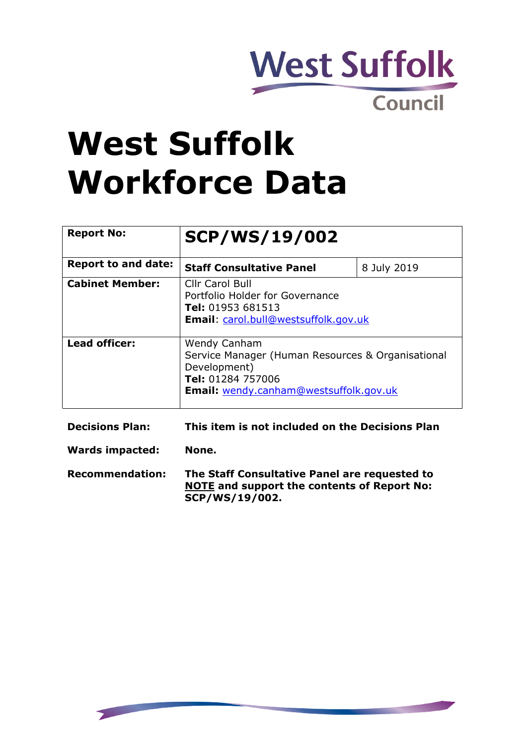

# **West Suffolk Workforce Data**

| <b>Report No:</b>          | <b>SCP/WS/19/002</b>                                                                                                                                           |             |
|----------------------------|----------------------------------------------------------------------------------------------------------------------------------------------------------------|-------------|
| <b>Report to and date:</b> | <b>Staff Consultative Panel</b>                                                                                                                                | 8 July 2019 |
| <b>Cabinet Member:</b>     | <b>Cllr Carol Bull</b><br>Portfolio Holder for Governance<br>Tel: 01953 681513<br><b>Email:</b> carol.bull@westsuffolk.gov.uk                                  |             |
| Lead officer:              | <b>Wendy Canham</b><br>Service Manager (Human Resources & Organisational<br>Development)<br>Tel: 01284 757006<br><b>Email:</b> wendy.canham@westsuffolk.gov.uk |             |

| <b>Decisions Plan:</b> | This item is not included on the Decisions Plan                                                                       |
|------------------------|-----------------------------------------------------------------------------------------------------------------------|
| Wards impacted:        | None.                                                                                                                 |
| <b>Recommendation:</b> | The Staff Consultative Panel are requested to<br><b>NOTE and support the contents of Report No:</b><br>SCP/WS/19/002. |